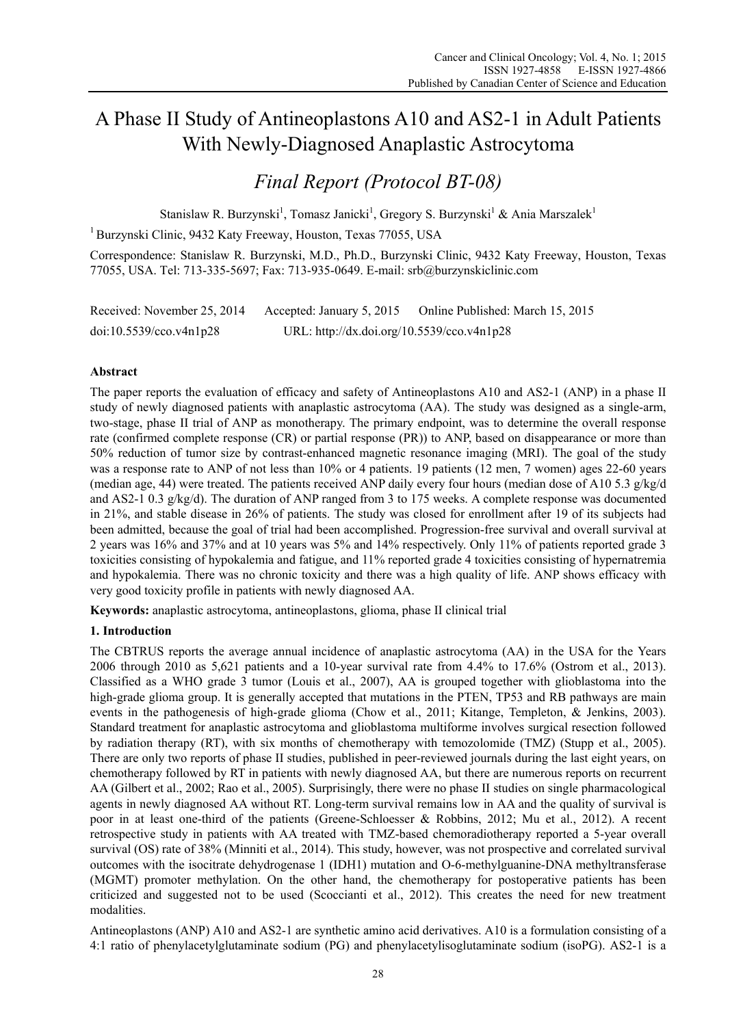# A Phase II Study of Antineoplastons A10 and AS2-1 in Adult Patients With Newly-Diagnosed Anaplastic Astrocytoma

# *Final Report (Protocol BT-08)*

Stanislaw R. Burzynski<sup>1</sup>, Tomasz Janicki<sup>1</sup>, Gregory S. Burzynski<sup>1</sup> & Ania Marszalek<sup>1</sup>

1 Burzynski Clinic, 9432 Katy Freeway, Houston, Texas 77055, USA

Correspondence: Stanislaw R. Burzynski, M.D., Ph.D., Burzynski Clinic, 9432 Katy Freeway, Houston, Texas 77055, USA. Tel: 713-335-5697; Fax: 713-935-0649. E-mail: srb@burzynskiclinic.com

| Received: November 25, 2014 | Accepted: January 5, 2015                  | Online Published: March 15, 2015 |
|-----------------------------|--------------------------------------------|----------------------------------|
| $doi:10.5539$ /cco.v4n1p28  | URL: http://dx.doi.org/10.5539/cco.v4n1p28 |                                  |

# **Abstract**

The paper reports the evaluation of efficacy and safety of Antineoplastons A10 and AS2-1 (ANP) in a phase II study of newly diagnosed patients with anaplastic astrocytoma (AA). The study was designed as a single-arm, two-stage, phase II trial of ANP as monotherapy. The primary endpoint, was to determine the overall response rate (confirmed complete response (CR) or partial response (PR)) to ANP, based on disappearance or more than 50% reduction of tumor size by contrast-enhanced magnetic resonance imaging (MRI). The goal of the study was a response rate to ANP of not less than 10% or 4 patients. 19 patients (12 men, 7 women) ages 22-60 years (median age, 44) were treated. The patients received ANP daily every four hours (median dose of A10 5.3 g/kg/d and AS2-1 0.3 g/kg/d). The duration of ANP ranged from 3 to 175 weeks. A complete response was documented in 21%, and stable disease in 26% of patients. The study was closed for enrollment after 19 of its subjects had been admitted, because the goal of trial had been accomplished. Progression-free survival and overall survival at 2 years was 16% and 37% and at 10 years was 5% and 14% respectively. Only 11% of patients reported grade 3 toxicities consisting of hypokalemia and fatigue, and 11% reported grade 4 toxicities consisting of hypernatremia and hypokalemia. There was no chronic toxicity and there was a high quality of life. ANP shows efficacy with very good toxicity profile in patients with newly diagnosed AA.

**Keywords:** anaplastic astrocytoma, antineoplastons, glioma, phase II clinical trial

#### **1. Introduction**

The CBTRUS reports the average annual incidence of anaplastic astrocytoma (AA) in the USA for the Years 2006 through 2010 as 5,621 patients and a 10-year survival rate from 4.4% to 17.6% (Ostrom et al., 2013). Classified as a WHO grade 3 tumor (Louis et al., 2007), AA is grouped together with glioblastoma into the high-grade glioma group. It is generally accepted that mutations in the PTEN, TP53 and RB pathways are main events in the pathogenesis of high-grade glioma (Chow et al., 2011; Kitange, Templeton, & Jenkins, 2003). Standard treatment for anaplastic astrocytoma and glioblastoma multiforme involves surgical resection followed by radiation therapy (RT), with six months of chemotherapy with temozolomide (TMZ) (Stupp et al., 2005). There are only two reports of phase II studies, published in peer-reviewed journals during the last eight years, on chemotherapy followed by RT in patients with newly diagnosed AA, but there are numerous reports on recurrent AA (Gilbert et al., 2002; Rao et al., 2005). Surprisingly, there were no phase II studies on single pharmacological agents in newly diagnosed AA without RT. Long-term survival remains low in AA and the quality of survival is poor in at least one-third of the patients (Greene-Schloesser & Robbins, 2012; Mu et al., 2012). A recent retrospective study in patients with AA treated with TMZ-based chemoradiotherapy reported a 5-year overall survival (OS) rate of 38% (Minniti et al., 2014). This study, however, was not prospective and correlated survival outcomes with the isocitrate dehydrogenase 1 (IDH1) mutation and O-6-methylguanine-DNA methyltransferase (MGMT) promoter methylation. On the other hand, the chemotherapy for postoperative patients has been criticized and suggested not to be used (Scoccianti et al., 2012). This creates the need for new treatment modalities.

Antineoplastons (ANP) A10 and AS2-1 are synthetic amino acid derivatives. A10 is a formulation consisting of a 4:1 ratio of phenylacetylglutaminate sodium (PG) and phenylacetylisoglutaminate sodium (isoPG). AS2-1 is a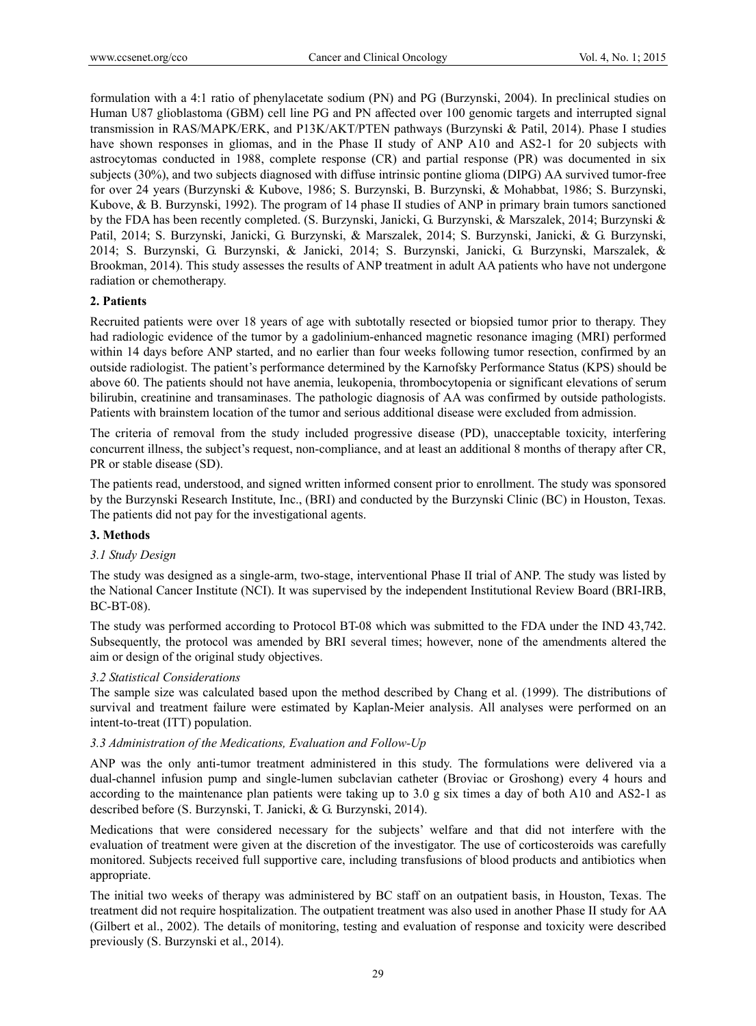formulation with a 4:1 ratio of phenylacetate sodium (PN) and PG (Burzynski, 2004). In preclinical studies on Human U87 glioblastoma (GBM) cell line PG and PN affected over 100 genomic targets and interrupted signal transmission in RAS/MAPK/ERK, and P13K/AKT/PTEN pathways (Burzynski & Patil, 2014). Phase I studies have shown responses in gliomas, and in the Phase II study of ANP A10 and AS2-1 for 20 subjects with astrocytomas conducted in 1988, complete response (CR) and partial response (PR) was documented in six subjects (30%), and two subjects diagnosed with diffuse intrinsic pontine glioma (DIPG) AA survived tumor-free for over 24 years (Burzynski & Kubove, 1986; S. Burzynski, B. Burzynski, & Mohabbat, 1986; S. Burzynski, Kubove, & B. Burzynski, 1992). The program of 14 phase II studies of ANP in primary brain tumors sanctioned by the FDA has been recently completed. (S. Burzynski, Janicki, G. Burzynski, & Marszalek, 2014; Burzynski & Patil, 2014; S. Burzynski, Janicki, G. Burzynski, & Marszalek, 2014; S. Burzynski, Janicki, & G. Burzynski, 2014; S. Burzynski, G. Burzynski, & Janicki, 2014; S. Burzynski, Janicki, G. Burzynski, Marszalek, & Brookman, 2014). This study assesses the results of ANP treatment in adult AA patients who have not undergone radiation or chemotherapy.

### **2. Patients**

Recruited patients were over 18 years of age with subtotally resected or biopsied tumor prior to therapy. They had radiologic evidence of the tumor by a gadolinium-enhanced magnetic resonance imaging (MRI) performed within 14 days before ANP started, and no earlier than four weeks following tumor resection, confirmed by an outside radiologist. The patient's performance determined by the Karnofsky Performance Status (KPS) should be above 60. The patients should not have anemia, leukopenia, thrombocytopenia or significant elevations of serum bilirubin, creatinine and transaminases. The pathologic diagnosis of AA was confirmed by outside pathologists. Patients with brainstem location of the tumor and serious additional disease were excluded from admission.

The criteria of removal from the study included progressive disease (PD), unacceptable toxicity, interfering concurrent illness, the subject's request, non-compliance, and at least an additional 8 months of therapy after CR, PR or stable disease (SD).

The patients read, understood, and signed written informed consent prior to enrollment. The study was sponsored by the Burzynski Research Institute, Inc., (BRI) and conducted by the Burzynski Clinic (BC) in Houston, Texas. The patients did not pay for the investigational agents.

#### **3. Methods**

#### *3.1 Study Design*

The study was designed as a single-arm, two-stage, interventional Phase II trial of ANP. The study was listed by the National Cancer Institute (NCI). It was supervised by the independent Institutional Review Board (BRI-IRB, BC-BT-08).

The study was performed according to Protocol BT-08 which was submitted to the FDA under the IND 43,742. Subsequently, the protocol was amended by BRI several times; however, none of the amendments altered the aim or design of the original study objectives.

#### *3.2 Statistical Considerations*

The sample size was calculated based upon the method described by Chang et al. (1999). The distributions of survival and treatment failure were estimated by Kaplan-Meier analysis. All analyses were performed on an intent-to-treat (ITT) population.

#### *3.3 Administration of the Medications, Evaluation and Follow-Up*

ANP was the only anti-tumor treatment administered in this study. The formulations were delivered via a dual-channel infusion pump and single-lumen subclavian catheter (Broviac or Groshong) every 4 hours and according to the maintenance plan patients were taking up to 3.0 g six times a day of both A10 and AS2-1 as described before (S. Burzynski, T. Janicki, & G. Burzynski, 2014).

Medications that were considered necessary for the subjects' welfare and that did not interfere with the evaluation of treatment were given at the discretion of the investigator. The use of corticosteroids was carefully monitored. Subjects received full supportive care, including transfusions of blood products and antibiotics when appropriate.

The initial two weeks of therapy was administered by BC staff on an outpatient basis, in Houston, Texas. The treatment did not require hospitalization. The outpatient treatment was also used in another Phase II study for AA (Gilbert et al., 2002). The details of monitoring, testing and evaluation of response and toxicity were described previously (S. Burzynski et al., 2014).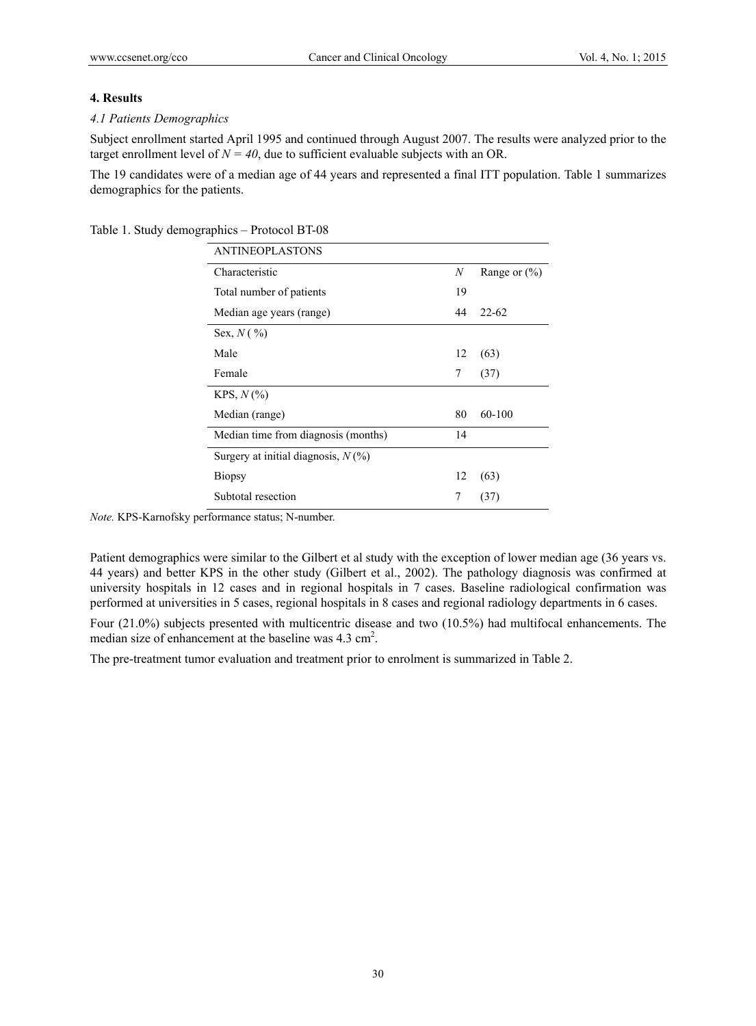#### **4. Results**

#### *4.1 Patients Demographics*

Subject enrollment started April 1995 and continued through August 2007. The results were analyzed prior to the target enrollment level of  $N = 40$ , due to sufficient evaluable subjects with an OR.

The 19 candidates were of a median age of 44 years and represented a final ITT population. Table 1 summarizes demographics for the patients.

| <b>ANTINEOPLASTONS</b>                |    |                  |
|---------------------------------------|----|------------------|
| Characteristic                        | N  | Range or $(\% )$ |
| Total number of patients              | 19 |                  |
| Median age years (range)              | 44 | $22 - 62$        |
| Sex, $N($ %)                          |    |                  |
| Male                                  | 12 | (63)             |
| Female                                | 7  | (37)             |
| $KPS, N(\%)$                          |    |                  |
| Median (range)                        | 80 | 60-100           |
| Median time from diagnosis (months)   | 14 |                  |
| Surgery at initial diagnosis, $N(\%)$ |    |                  |
| <b>Biopsy</b>                         | 12 | (63)             |
| Subtotal resection                    | 7  | (37)             |

Table 1. Study demographics – Protocol BT-08

*Note.* KPS-Karnofsky performance status; N-number.

Patient demographics were similar to the Gilbert et al study with the exception of lower median age (36 years vs. 44 years) and better KPS in the other study (Gilbert et al., 2002). The pathology diagnosis was confirmed at university hospitals in 12 cases and in regional hospitals in 7 cases. Baseline radiological confirmation was performed at universities in 5 cases, regional hospitals in 8 cases and regional radiology departments in 6 cases.

Four (21.0%) subjects presented with multicentric disease and two (10.5%) had multifocal enhancements. The median size of enhancement at the baseline was  $4.3 \text{ cm}^2$ .

The pre-treatment tumor evaluation and treatment prior to enrolment is summarized in Table 2.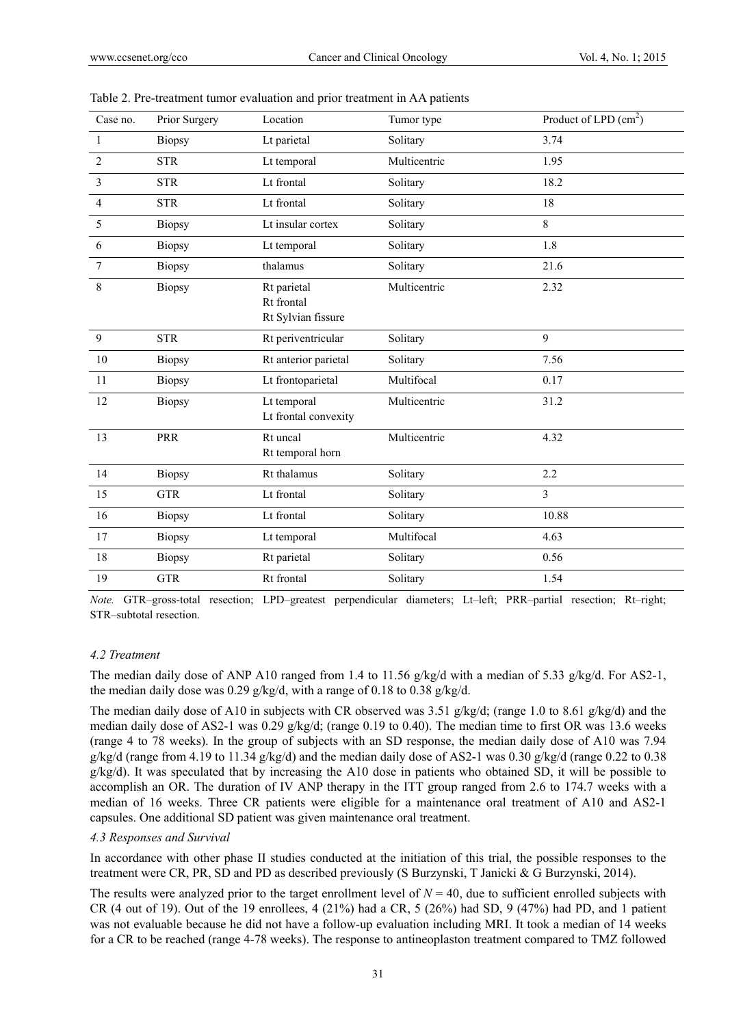| Case no.       | Prior Surgery | Location                                        | Tumor type   | Product of LPD $(cm2)$ |
|----------------|---------------|-------------------------------------------------|--------------|------------------------|
| 1              | <b>Biopsy</b> | Lt parietal                                     | Solitary     | 3.74                   |
| $\overline{2}$ | <b>STR</b>    | Lt temporal                                     | Multicentric | 1.95                   |
| 3              | <b>STR</b>    | Lt frontal                                      | Solitary     | 18.2                   |
| $\overline{4}$ | <b>STR</b>    | Lt frontal                                      | Solitary     | 18                     |
| 5              | <b>Biopsy</b> | Lt insular cortex                               | Solitary     | 8                      |
| 6              | <b>Biopsy</b> | Lt temporal                                     | Solitary     | 1.8                    |
| 7              | <b>Biopsy</b> | thalamus                                        | Solitary     | 21.6                   |
| $\,8\,$        | <b>Biopsy</b> | Rt parietal<br>Rt frontal<br>Rt Sylvian fissure | Multicentric | 2.32                   |
| 9              | <b>STR</b>    | Rt periventricular                              | Solitary     | 9                      |
| $10\,$         | <b>Biopsy</b> | Rt anterior parietal                            | Solitary     | 7.56                   |
| 11             | <b>Biopsy</b> | Lt frontoparietal                               | Multifocal   | 0.17                   |
| 12             | <b>Biopsy</b> | Lt temporal<br>Lt frontal convexity             | Multicentric | 31.2                   |
| 13             | PRR           | Rt uncal<br>Rt temporal horn                    | Multicentric | 4.32                   |
| 14             | <b>Biopsy</b> | Rt thalamus                                     | Solitary     | 2.2                    |
| 15             | <b>GTR</b>    | Lt frontal                                      | Solitary     | 3                      |
| 16             | <b>Biopsy</b> | Lt frontal                                      | Solitary     | 10.88                  |
| 17             | <b>Biopsy</b> | Lt temporal                                     | Multifocal   | 4.63                   |
| 18             | <b>Biopsy</b> | Rt parietal                                     | Solitary     | 0.56                   |
| 19             | <b>GTR</b>    | Rt frontal                                      | Solitary     | 1.54                   |

| Table 2. Pre-treatment tumor evaluation and prior treatment in AA patients |  |  |  |  |  |  |  |  |  |
|----------------------------------------------------------------------------|--|--|--|--|--|--|--|--|--|
|----------------------------------------------------------------------------|--|--|--|--|--|--|--|--|--|

*Note.* GTR–gross-total resection; LPD–greatest perpendicular diameters; Lt–left; PRR–partial resection; Rt–right; STR–subtotal resection.

#### *4.2 Treatment*

The median daily dose of ANP A10 ranged from 1.4 to 11.56 g/kg/d with a median of 5.33 g/kg/d. For AS2-1, the median daily dose was 0.29 g/kg/d, with a range of 0.18 to 0.38 g/kg/d.

The median daily dose of A10 in subjects with CR observed was 3.51 g/kg/d; (range 1.0 to 8.61 g/kg/d) and the median daily dose of AS2-1 was 0.29 g/kg/d; (range 0.19 to 0.40). The median time to first OR was 13.6 weeks (range 4 to 78 weeks). In the group of subjects with an SD response, the median daily dose of A10 was 7.94  $g/kg/d$  (range from 4.19 to 11.34  $g/kg/d$ ) and the median daily dose of AS2-1 was 0.30  $g/kg/d$  (range 0.22 to 0.38 g/kg/d). It was speculated that by increasing the A10 dose in patients who obtained SD, it will be possible to accomplish an OR. The duration of IV ANP therapy in the ITT group ranged from 2.6 to 174.7 weeks with a median of 16 weeks. Three CR patients were eligible for a maintenance oral treatment of A10 and AS2-1 capsules. One additional SD patient was given maintenance oral treatment.

#### *4.3 Responses and Survival*

In accordance with other phase II studies conducted at the initiation of this trial, the possible responses to the treatment were CR, PR, SD and PD as described previously (S Burzynski, T Janicki & G Burzynski, 2014).

The results were analyzed prior to the target enrollment level of  $N = 40$ , due to sufficient enrolled subjects with CR (4 out of 19). Out of the 19 enrollees,  $4(21\%)$  had a CR,  $5(26\%)$  had SD,  $9(47\%)$  had PD, and 1 patient was not evaluable because he did not have a follow-up evaluation including MRI. It took a median of 14 weeks for a CR to be reached (range 4-78 weeks). The response to antineoplaston treatment compared to TMZ followed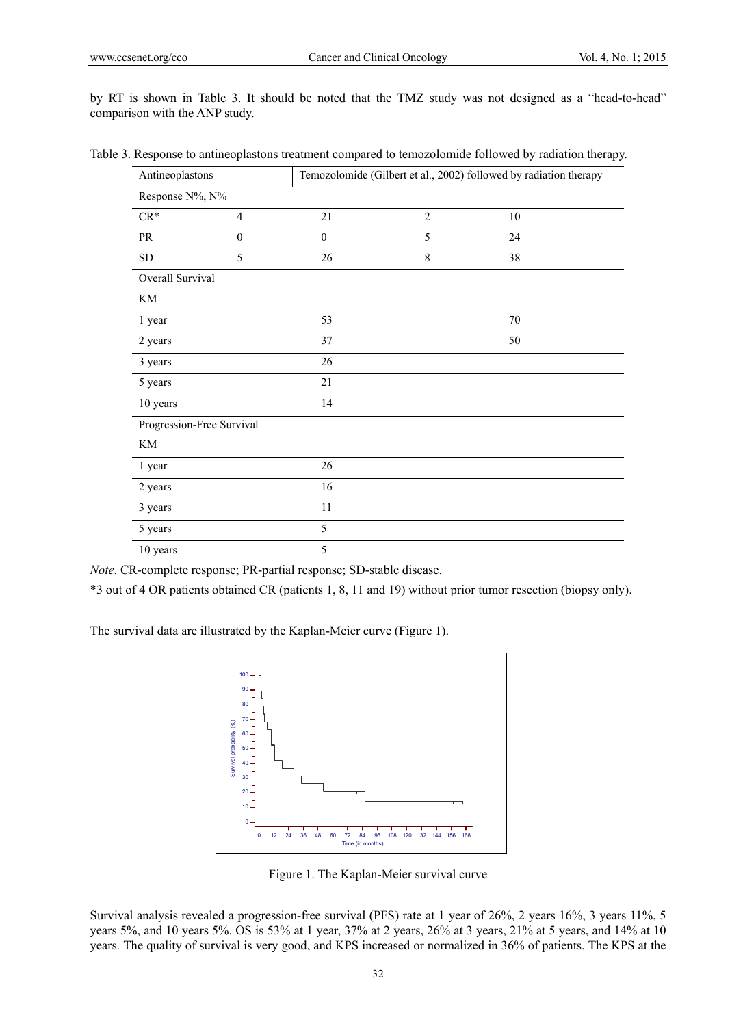by RT is shown in Table 3. It should be noted that the TMZ study was not designed as a "head-to-head" comparison with the ANP study.

| Antineoplastons            |                |                  | Temozolomide (Gilbert et al., 2002) followed by radiation therapy |        |  |
|----------------------------|----------------|------------------|-------------------------------------------------------------------|--------|--|
| Response N%, N%            |                |                  |                                                                   |        |  |
| $CR*$                      | $\overline{4}$ | 21               | $\overline{c}$                                                    | $10\,$ |  |
| PR                         | $\mathbf{0}$   | $\boldsymbol{0}$ | 5                                                                 | 24     |  |
| SD                         | 5              | 26               | 8                                                                 | 38     |  |
| Overall Survival           |                |                  |                                                                   |        |  |
| $\mathop{\rm KM}\nolimits$ |                |                  |                                                                   |        |  |
| 1 year                     |                | 53               |                                                                   | 70     |  |
| 2 years                    |                | 37               |                                                                   | 50     |  |
| 3 years                    |                | 26               |                                                                   |        |  |
| 5 years                    |                | 21               |                                                                   |        |  |
| 10 years                   |                | 14               |                                                                   |        |  |
| Progression-Free Survival  |                |                  |                                                                   |        |  |
| KM                         |                |                  |                                                                   |        |  |
| 1 year                     |                | 26               |                                                                   |        |  |
| 2 years                    |                | 16               |                                                                   |        |  |
| 3 years                    |                | 11               |                                                                   |        |  |
| 5 years                    |                | 5                |                                                                   |        |  |
| 10 years                   |                | 5                |                                                                   |        |  |

Table 3. Response to antineoplastons treatment compared to temozolomide followed by radiation therapy.

*Note*. CR-complete response; PR-partial response; SD-stable disease.

\*3 out of 4 OR patients obtained CR (patients 1, 8, 11 and 19) without prior tumor resection (biopsy only).

The survival data are illustrated by the Kaplan-Meier curve (Figure 1).



Figure 1. The Kaplan-Meier survival curve

Survival analysis revealed a progression-free survival (PFS) rate at 1 year of 26%, 2 years 16%, 3 years 11%, 5 years 5%, and 10 years 5%. OS is 53% at 1 year, 37% at 2 years, 26% at 3 years, 21% at 5 years, and 14% at 10 years. The quality of survival is very good, and KPS increased or normalized in 36% of patients. The KPS at the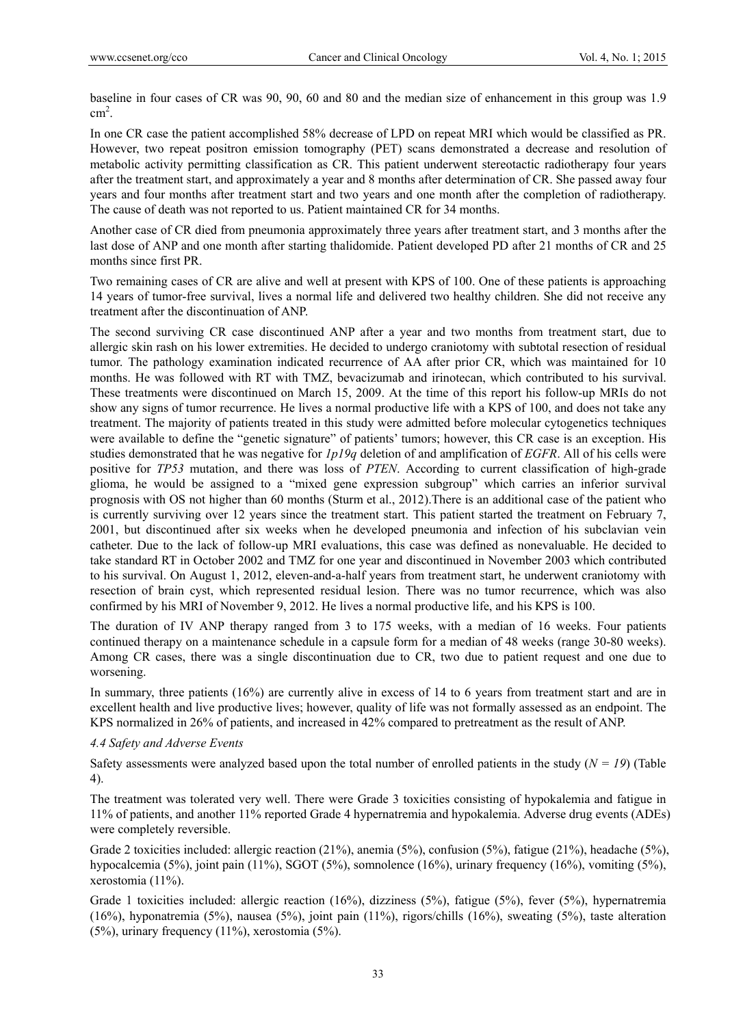baseline in four cases of CR was 90, 90, 60 and 80 and the median size of enhancement in this group was 1.9  $\text{cm}^2$ .

In one CR case the patient accomplished 58% decrease of LPD on repeat MRI which would be classified as PR. However, two repeat positron emission tomography (PET) scans demonstrated a decrease and resolution of metabolic activity permitting classification as CR. This patient underwent stereotactic radiotherapy four years after the treatment start, and approximately a year and 8 months after determination of CR. She passed away four years and four months after treatment start and two years and one month after the completion of radiotherapy. The cause of death was not reported to us. Patient maintained CR for 34 months.

Another case of CR died from pneumonia approximately three years after treatment start, and 3 months after the last dose of ANP and one month after starting thalidomide. Patient developed PD after 21 months of CR and 25 months since first PR.

Two remaining cases of CR are alive and well at present with KPS of 100. One of these patients is approaching 14 years of tumor-free survival, lives a normal life and delivered two healthy children. She did not receive any treatment after the discontinuation of ANP.

The second surviving CR case discontinued ANP after a year and two months from treatment start, due to allergic skin rash on his lower extremities. He decided to undergo craniotomy with subtotal resection of residual tumor. The pathology examination indicated recurrence of AA after prior CR, which was maintained for 10 months. He was followed with RT with TMZ, bevacizumab and irinotecan, which contributed to his survival. These treatments were discontinued on March 15, 2009. At the time of this report his follow-up MRIs do not show any signs of tumor recurrence. He lives a normal productive life with a KPS of 100, and does not take any treatment. The majority of patients treated in this study were admitted before molecular cytogenetics techniques were available to define the "genetic signature" of patients' tumors; however, this CR case is an exception. His studies demonstrated that he was negative for *1p19q* deletion of and amplification of *EGFR*. All of his cells were positive for *TP53* mutation, and there was loss of *PTEN*. According to current classification of high-grade glioma, he would be assigned to a "mixed gene expression subgroup" which carries an inferior survival prognosis with OS not higher than 60 months (Sturm et al., 2012).There is an additional case of the patient who is currently surviving over 12 years since the treatment start. This patient started the treatment on February 7, 2001, but discontinued after six weeks when he developed pneumonia and infection of his subclavian vein catheter. Due to the lack of follow-up MRI evaluations, this case was defined as nonevaluable. He decided to take standard RT in October 2002 and TMZ for one year and discontinued in November 2003 which contributed to his survival. On August 1, 2012, eleven-and-a-half years from treatment start, he underwent craniotomy with resection of brain cyst, which represented residual lesion. There was no tumor recurrence, which was also confirmed by his MRI of November 9, 2012. He lives a normal productive life, and his KPS is 100.

The duration of IV ANP therapy ranged from 3 to 175 weeks, with a median of 16 weeks. Four patients continued therapy on a maintenance schedule in a capsule form for a median of 48 weeks (range 30-80 weeks). Among CR cases, there was a single discontinuation due to CR, two due to patient request and one due to worsening.

In summary, three patients (16%) are currently alive in excess of 14 to 6 years from treatment start and are in excellent health and live productive lives; however, quality of life was not formally assessed as an endpoint. The KPS normalized in 26% of patients, and increased in 42% compared to pretreatment as the result of ANP.

#### *4.4 Safety and Adverse Events*

Safety assessments were analyzed based upon the total number of enrolled patients in the study  $(N = 19)$  (Table 4).

The treatment was tolerated very well. There were Grade 3 toxicities consisting of hypokalemia and fatigue in 11% of patients, and another 11% reported Grade 4 hypernatremia and hypokalemia. Adverse drug events (ADEs) were completely reversible.

Grade 2 toxicities included: allergic reaction (21%), anemia (5%), confusion (5%), fatigue (21%), headache (5%), hypocalcemia (5%), joint pain (11%), SGOT (5%), somnolence (16%), urinary frequency (16%), vomiting (5%), xerostomia (11%).

Grade 1 toxicities included: allergic reaction (16%), dizziness (5%), fatigue (5%), fever (5%), hypernatremia (16%), hyponatremia (5%), nausea (5%), joint pain (11%), rigors/chills (16%), sweating (5%), taste alteration (5%), urinary frequency (11%), xerostomia (5%).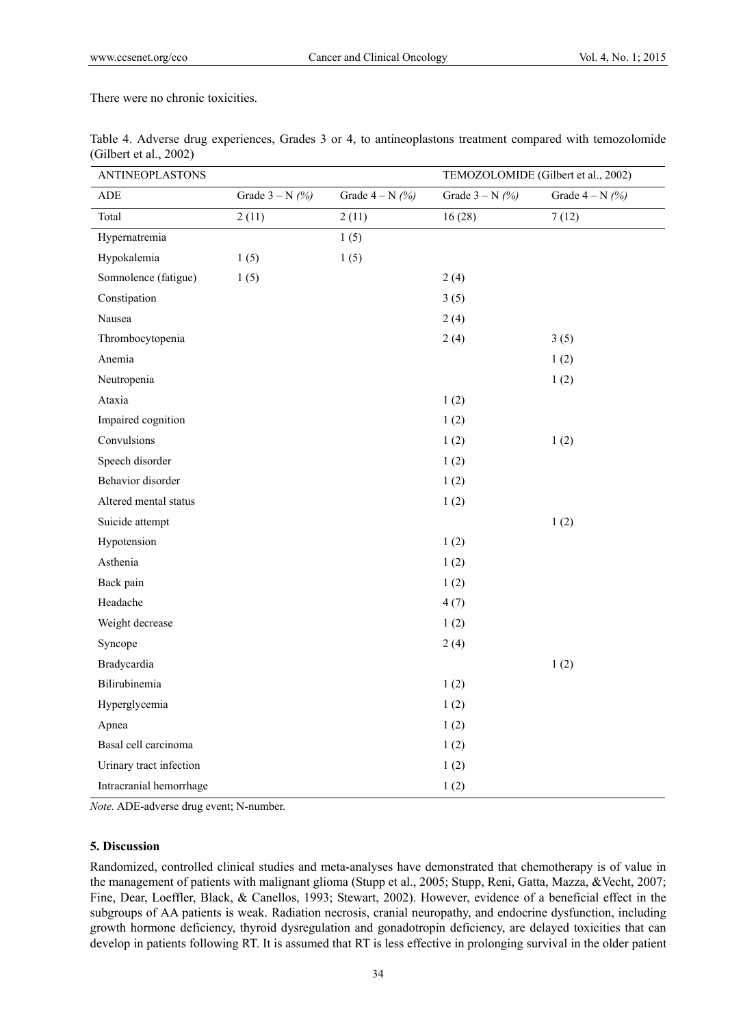There were no chronic toxicities.

| <b>ANTINEOPLASTONS</b>  |                   |                   | TEMOZOLOMIDE (Gilbert et al., 2002) |                   |  |
|-------------------------|-------------------|-------------------|-------------------------------------|-------------------|--|
| ADE                     | Grade $3 - N$ (%) | Grade $4 - N$ (%) | Grade $3 - N$ (%)                   | Grade $4 - N$ (%) |  |
| Total                   | 2(11)             | 2(11)             | 16(28)                              | 7(12)             |  |
| Hypernatremia           |                   | 1(5)              |                                     |                   |  |
| Hypokalemia             | 1(5)              | 1(5)              |                                     |                   |  |
| Somnolence (fatigue)    | 1(5)              |                   | 2(4)                                |                   |  |
| Constipation            |                   |                   | 3(5)                                |                   |  |
| Nausea                  |                   |                   | 2(4)                                |                   |  |
| Thrombocytopenia        |                   |                   | 2(4)                                | 3(5)              |  |
| Anemia                  |                   |                   |                                     | 1(2)              |  |
| Neutropenia             |                   |                   |                                     | 1(2)              |  |
| Ataxia                  |                   |                   | 1(2)                                |                   |  |
| Impaired cognition      |                   |                   | 1(2)                                |                   |  |
| Convulsions             |                   |                   | 1(2)                                | 1(2)              |  |
| Speech disorder         |                   |                   | 1(2)                                |                   |  |
| Behavior disorder       |                   |                   | 1(2)                                |                   |  |
| Altered mental status   |                   |                   | 1(2)                                |                   |  |
| Suicide attempt         |                   |                   |                                     | 1(2)              |  |
| Hypotension             |                   |                   | 1(2)                                |                   |  |
| Asthenia                |                   |                   | 1(2)                                |                   |  |
| Back pain               |                   |                   | 1(2)                                |                   |  |
| Headache                |                   |                   | 4(7)                                |                   |  |
| Weight decrease         |                   |                   | 1(2)                                |                   |  |
| Syncope                 |                   |                   | 2(4)                                |                   |  |
| Bradycardia             |                   |                   |                                     | 1(2)              |  |
| Bilirubinemia           |                   |                   | 1(2)                                |                   |  |
| Hyperglycemia           |                   |                   | 1(2)                                |                   |  |
| Apnea                   |                   |                   | 1(2)                                |                   |  |
| Basal cell carcinoma    |                   |                   | 1(2)                                |                   |  |
| Urinary tract infection |                   |                   | 1(2)                                |                   |  |
| Intracranial hemorrhage |                   |                   | 1(2)                                |                   |  |

Table 4. Adverse drug experiences, Grades 3 or 4, to antineoplastons treatment compared with temozolomide (Gilbert et al., 2002)

*Note.* ADE-adverse drug event; N-number.

## **5. Discussion**

Randomized, controlled clinical studies and meta-analyses have demonstrated that chemotherapy is of value in the management of patients with malignant glioma (Stupp et al., 2005; Stupp, Reni, Gatta, Mazza, &Vecht, 2007; Fine, Dear, Loeffler, Black, & Canellos, 1993; Stewart, 2002). However, evidence of a beneficial effect in the subgroups of AA patients is weak. Radiation necrosis, cranial neuropathy, and endocrine dysfunction, including growth hormone deficiency, thyroid dysregulation and gonadotropin deficiency, are delayed toxicities that can develop in patients following RT. It is assumed that RT is less effective in prolonging survival in the older patient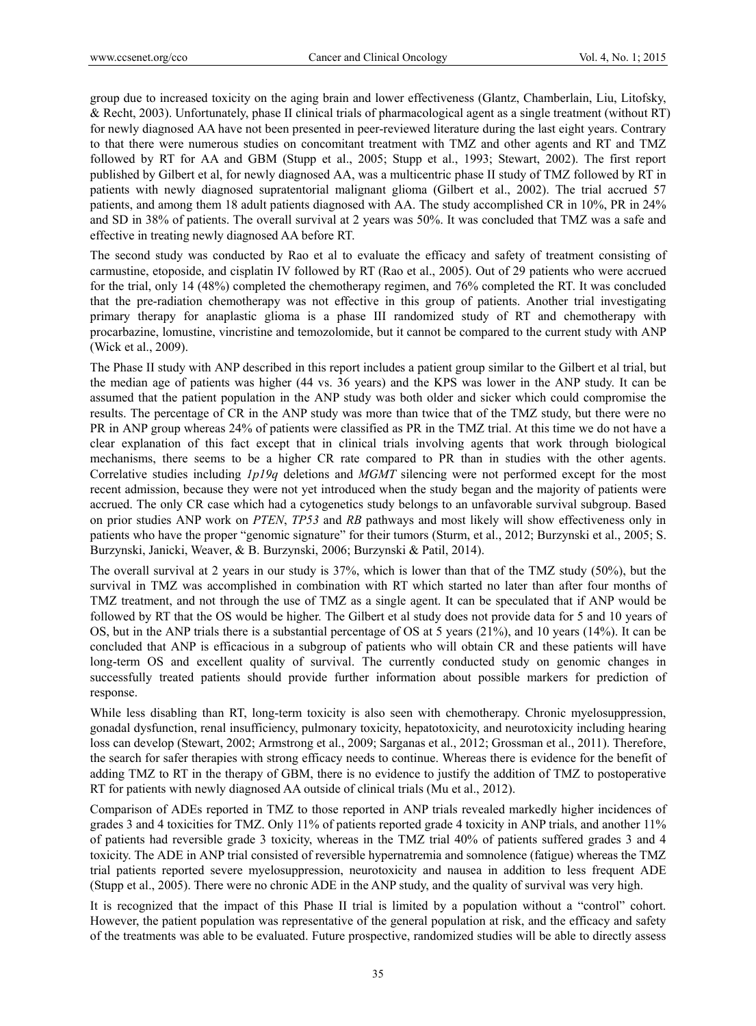group due to increased toxicity on the aging brain and lower effectiveness (Glantz, Chamberlain, Liu, Litofsky, & Recht, 2003). Unfortunately, phase II clinical trials of pharmacological agent as a single treatment (without RT) for newly diagnosed AA have not been presented in peer-reviewed literature during the last eight years. Contrary to that there were numerous studies on concomitant treatment with TMZ and other agents and RT and TMZ followed by RT for AA and GBM (Stupp et al., 2005; Stupp et al., 1993; Stewart, 2002). The first report published by Gilbert et al, for newly diagnosed AA, was a multicentric phase II study of TMZ followed by RT in patients with newly diagnosed supratentorial malignant glioma (Gilbert et al., 2002). The trial accrued 57 patients, and among them 18 adult patients diagnosed with AA. The study accomplished CR in 10%, PR in 24% and SD in 38% of patients. The overall survival at 2 years was 50%. It was concluded that TMZ was a safe and effective in treating newly diagnosed AA before RT.

The second study was conducted by Rao et al to evaluate the efficacy and safety of treatment consisting of carmustine, etoposide, and cisplatin IV followed by RT (Rao et al., 2005). Out of 29 patients who were accrued for the trial, only 14 (48%) completed the chemotherapy regimen, and 76% completed the RT. It was concluded that the pre-radiation chemotherapy was not effective in this group of patients. Another trial investigating primary therapy for anaplastic glioma is a phase III randomized study of RT and chemotherapy with procarbazine, lomustine, vincristine and temozolomide, but it cannot be compared to the current study with ANP (Wick et al., 2009).

The Phase II study with ANP described in this report includes a patient group similar to the Gilbert et al trial, but the median age of patients was higher (44 vs. 36 years) and the KPS was lower in the ANP study. It can be assumed that the patient population in the ANP study was both older and sicker which could compromise the results. The percentage of CR in the ANP study was more than twice that of the TMZ study, but there were no PR in ANP group whereas 24% of patients were classified as PR in the TMZ trial. At this time we do not have a clear explanation of this fact except that in clinical trials involving agents that work through biological mechanisms, there seems to be a higher CR rate compared to PR than in studies with the other agents. Correlative studies including *1p19q* deletions and *MGMT* silencing were not performed except for the most recent admission, because they were not yet introduced when the study began and the majority of patients were accrued. The only CR case which had a cytogenetics study belongs to an unfavorable survival subgroup. Based on prior studies ANP work on *PTEN*, *TP53* and *RB* pathways and most likely will show effectiveness only in patients who have the proper "genomic signature" for their tumors (Sturm, et al., 2012; Burzynski et al., 2005; S. Burzynski, Janicki, Weaver, & B. Burzynski, 2006; Burzynski & Patil, 2014).

The overall survival at 2 years in our study is 37%, which is lower than that of the TMZ study (50%), but the survival in TMZ was accomplished in combination with RT which started no later than after four months of TMZ treatment, and not through the use of TMZ as a single agent. It can be speculated that if ANP would be followed by RT that the OS would be higher. The Gilbert et al study does not provide data for 5 and 10 years of OS, but in the ANP trials there is a substantial percentage of OS at 5 years (21%), and 10 years (14%). It can be concluded that ANP is efficacious in a subgroup of patients who will obtain CR and these patients will have long-term OS and excellent quality of survival. The currently conducted study on genomic changes in successfully treated patients should provide further information about possible markers for prediction of response.

While less disabling than RT, long-term toxicity is also seen with chemotherapy. Chronic myelosuppression, gonadal dysfunction, renal insufficiency, pulmonary toxicity, hepatotoxicity, and neurotoxicity including hearing loss can develop (Stewart, 2002; Armstrong et al., 2009; Sarganas et al., 2012; Grossman et al., 2011). Therefore, the search for safer therapies with strong efficacy needs to continue. Whereas there is evidence for the benefit of adding TMZ to RT in the therapy of GBM, there is no evidence to justify the addition of TMZ to postoperative RT for patients with newly diagnosed AA outside of clinical trials (Mu et al., 2012).

Comparison of ADEs reported in TMZ to those reported in ANP trials revealed markedly higher incidences of grades 3 and 4 toxicities for TMZ. Only 11% of patients reported grade 4 toxicity in ANP trials, and another 11% of patients had reversible grade 3 toxicity, whereas in the TMZ trial 40% of patients suffered grades 3 and 4 toxicity. The ADE in ANP trial consisted of reversible hypernatremia and somnolence (fatigue) whereas the TMZ trial patients reported severe myelosuppression, neurotoxicity and nausea in addition to less frequent ADE (Stupp et al., 2005). There were no chronic ADE in the ANP study, and the quality of survival was very high.

It is recognized that the impact of this Phase II trial is limited by a population without a "control" cohort. However, the patient population was representative of the general population at risk, and the efficacy and safety of the treatments was able to be evaluated. Future prospective, randomized studies will be able to directly assess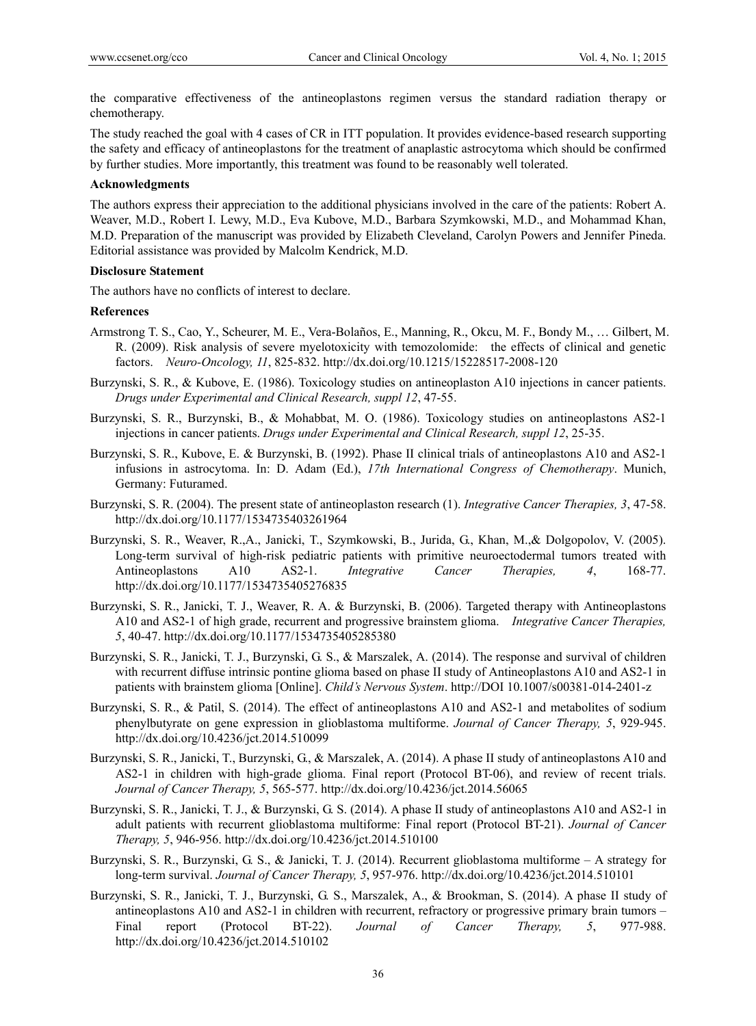the comparative effectiveness of the antineoplastons regimen versus the standard radiation therapy or chemotherapy.

The study reached the goal with 4 cases of CR in ITT population. It provides evidence-based research supporting the safety and efficacy of antineoplastons for the treatment of anaplastic astrocytoma which should be confirmed by further studies. More importantly, this treatment was found to be reasonably well tolerated.

#### **Acknowledgments**

The authors express their appreciation to the additional physicians involved in the care of the patients: Robert A. Weaver, M.D., Robert I. Lewy, M.D., Eva Kubove, M.D., Barbara Szymkowski, M.D., and Mohammad Khan, M.D. Preparation of the manuscript was provided by Elizabeth Cleveland, Carolyn Powers and Jennifer Pineda. Editorial assistance was provided by Malcolm Kendrick, M.D.

#### **Disclosure Statement**

The authors have no conflicts of interest to declare.

#### **References**

- Armstrong T. S., Cao, Y., Scheurer, M. E., Vera-Bolaños, E., Manning, R., Okcu, M. F., Bondy M., … Gilbert, M. R. (2009). Risk analysis of severe myelotoxicity with temozolomide: the effects of clinical and genetic factors. *Neuro-Oncology, 11*, 825-832. http://dx.doi.org/10.1215/15228517-2008-120
- Burzynski, S. R., & Kubove, E. (1986). Toxicology studies on antineoplaston A10 injections in cancer patients. *Drugs under Experimental and Clinical Research, suppl 12*, 47-55.
- Burzynski, S. R., Burzynski, B., & Mohabbat, M. O. (1986). Toxicology studies on antineoplastons AS2-1 injections in cancer patients. *Drugs under Experimental and Clinical Research, suppl 12*, 25-35.
- Burzynski, S. R., Kubove, E. & Burzynski, B. (1992). Phase II clinical trials of antineoplastons A10 and AS2-1 infusions in astrocytoma. In: D. Adam (Ed.), *17th International Congress of Chemotherapy*. Munich, Germany: Futuramed.
- Burzynski, S. R. (2004). The present state of antineoplaston research (1). *Integrative Cancer Therapies, 3*, 47-58. http://dx.doi.org/10.1177/1534735403261964
- Burzynski, S. R., Weaver, R.,A., Janicki, T., Szymkowski, B., Jurida, G., Khan, M.,& Dolgopolov, V. (2005). Long-term survival of high-risk pediatric patients with primitive neuroectodermal tumors treated with Antineoplastons A10 AS2-1. *Integrative Cancer Therapies, 4*, 168-77. http://dx.doi.org/10.1177/1534735405276835
- Burzynski, S. R., Janicki, T. J., Weaver, R. A. & Burzynski, B. (2006). Targeted therapy with Antineoplastons A10 and AS2-1 of high grade, recurrent and progressive brainstem glioma. *Integrative Cancer Therapies, 5*, 40-47. http://dx.doi.org/10.1177/1534735405285380
- Burzynski, S. R., Janicki, T. J., Burzynski, G. S., & Marszalek, A. (2014). The response and survival of children with recurrent diffuse intrinsic pontine glioma based on phase II study of Antineoplastons A10 and AS2-1 in patients with brainstem glioma [Online]. *Child's Nervous System*. http://DOI 10.1007/s00381-014-2401-z
- Burzynski, S. R., & Patil, S. (2014). The effect of antineoplastons A10 and AS2-1 and metabolites of sodium phenylbutyrate on gene expression in glioblastoma multiforme. *Journal of Cancer Therapy, 5*, 929-945. http://dx.doi.org/10.4236/jct.2014.510099
- Burzynski, S. R., Janicki, T., Burzynski, G., & Marszalek, A. (2014). A phase II study of antineoplastons A10 and AS2-1 in children with high-grade glioma. Final report (Protocol BT-06), and review of recent trials. *Journal of Cancer Therapy, 5*, 565-577. http://dx.doi.org/10.4236/jct.2014.56065
- Burzynski, S. R., Janicki, T. J., & Burzynski, G. S. (2014). A phase II study of antineoplastons A10 and AS2-1 in adult patients with recurrent glioblastoma multiforme: Final report (Protocol BT-21). *Journal of Cancer Therapy, 5*, 946-956. http://dx.doi.org/10.4236/jct.2014.510100
- Burzynski, S. R., Burzynski, G. S., & Janicki, T. J. (2014). Recurrent glioblastoma multiforme A strategy for long-term survival. *Journal of Cancer Therapy, 5*, 957-976. http://dx.doi.org/10.4236/jct.2014.510101
- Burzynski, S. R., Janicki, T. J., Burzynski, G. S., Marszalek, A., & Brookman, S. (2014). A phase II study of antineoplastons A10 and AS2-1 in children with recurrent, refractory or progressive primary brain tumors – Final report (Protocol BT-22). *Journal of Cancer Therapy, 5*, 977-988. http://dx.doi.org/10.4236/jct.2014.510102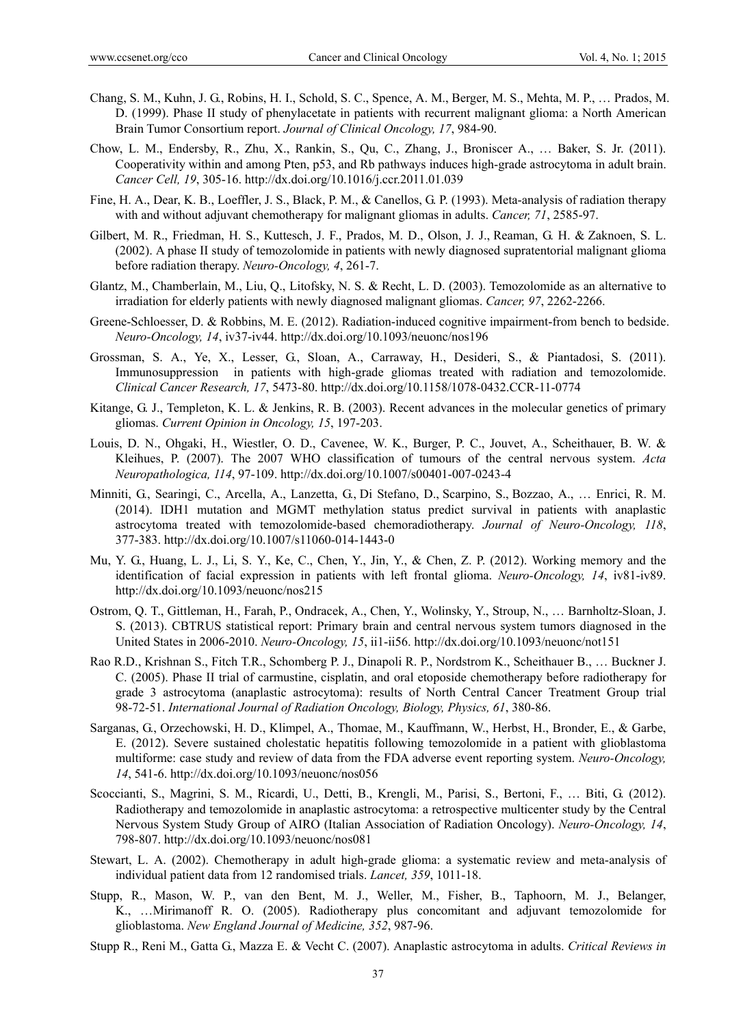- Chang, S. M., Kuhn, J. G., Robins, H. I., Schold, S. C., Spence, A. M., Berger, M. S., Mehta, M. P., … Prados, M. D. (1999). Phase II study of phenylacetate in patients with recurrent malignant glioma: a North American Brain Tumor Consortium report. *Journal of Clinical Oncology, 17*, 984-90.
- Chow, L. M., Endersby, R., Zhu, X., Rankin, S., Qu, C., Zhang, J., Broniscer A., … Baker, S. Jr. (2011). Cooperativity within and among Pten, p53, and Rb pathways induces high-grade astrocytoma in adult brain. *Cancer Cell, 19*, 305-16. http://dx.doi.org/10.1016/j.ccr.2011.01.039
- Fine, H. A., Dear, K. B., Loeffler, J. S., Black, P. M., & Canellos, G. P. (1993). Meta-analysis of radiation therapy with and without adjuvant chemotherapy for malignant gliomas in adults. *Cancer, 71*, 2585-97.
- Gilbert, M. R., Friedman, H. S., Kuttesch, J. F., Prados, M. D., Olson, J. J., Reaman, G. H. & Zaknoen, S. L. (2002). A phase II study of temozolomide in patients with newly diagnosed supratentorial malignant glioma before radiation therapy. *Neuro-Oncology, 4*, 261-7.
- Glantz, M., Chamberlain, M., Liu, Q., Litofsky, N. S. & Recht, L. D. (2003). Temozolomide as an alternative to irradiation for elderly patients with newly diagnosed malignant gliomas. *Cancer, 97*, 2262-2266.
- Greene-Schloesser, D. & Robbins, M. E. (2012). Radiation-induced cognitive impairment-from bench to bedside. *Neuro-Oncology, 14*, iv37-iv44. http://dx.doi.org/10.1093/neuonc/nos196
- Grossman, S. A., Ye, X., Lesser, G., Sloan, A., Carraway, H., Desideri, S., & Piantadosi, S. (2011). Immunosuppression in patients with high-grade gliomas treated with radiation and temozolomide. *Clinical Cancer Research, 17*, 5473-80. http://dx.doi.org/10.1158/1078-0432.CCR-11-0774
- Kitange, G. J., Templeton, K. L. & Jenkins, R. B. (2003). Recent advances in the molecular genetics of primary gliomas. *Current Opinion in Oncology, 15*, 197-203.
- Louis, D. N., Ohgaki, H., Wiestler, O. D., Cavenee, W. K., Burger, P. C., Jouvet, A., Scheithauer, B. W. & Kleihues, P. (2007). The 2007 WHO classification of tumours of the central nervous system. *Acta Neuropathologica, 114*, 97-109. http://dx.doi.org/10.1007/s00401-007-0243-4
- Minniti, G., Searingi, C., Arcella, A., Lanzetta, G., Di Stefano, D., Scarpino, S., Bozzao, A., … Enrici, R. M. (2014). IDH1 mutation and MGMT methylation status predict survival in patients with anaplastic astrocytoma treated with temozolomide-based chemoradiotherapy. *Journal of Neuro-Oncology, 118*, 377-383. http://dx.doi.org/10.1007/s11060-014-1443-0
- Mu, Y. G., Huang, L. J., Li, S. Y., Ke, C., Chen, Y., Jin, Y., & Chen, Z. P. (2012). Working memory and the identification of facial expression in patients with left frontal glioma. *Neuro-Oncology, 14*, iv81-iv89. http://dx.doi.org/10.1093/neuonc/nos215
- Ostrom, Q. T., Gittleman, H., Farah, P., Ondracek, A., Chen, Y., Wolinsky, Y., Stroup, N., … Barnholtz-Sloan, J. S. (2013). CBTRUS statistical report: Primary brain and central nervous system tumors diagnosed in the United States in 2006-2010. *Neuro-Oncology, 15*, ii1-ii56. http://dx.doi.org/10.1093/neuonc/not151
- Rao R.D., Krishnan S., Fitch T.R., Schomberg P. J., Dinapoli R. P., Nordstrom K., Scheithauer B., … Buckner J. C. (2005). Phase II trial of carmustine, cisplatin, and oral etoposide chemotherapy before radiotherapy for grade 3 astrocytoma (anaplastic astrocytoma): results of North Central Cancer Treatment Group trial 98-72-51. *International Journal of Radiation Oncology, Biology, Physics, 61*, 380-86.
- Sarganas, G., Orzechowski, H. D., Klimpel, A., Thomae, M., Kauffmann, W., Herbst, H., Bronder, E., & Garbe, E. (2012). Severe sustained cholestatic hepatitis following temozolomide in a patient with glioblastoma multiforme: case study and review of data from the FDA adverse event reporting system. *Neuro-Oncology, 14*, 541-6. http://dx.doi.org/10.1093/neuonc/nos056
- Scoccianti, S., Magrini, S. M., Ricardi, U., Detti, B., Krengli, M., Parisi, S., Bertoni, F., … Biti, G. (2012). Radiotherapy and temozolomide in anaplastic astrocytoma: a retrospective multicenter study by the Central Nervous System Study Group of AIRO (Italian Association of Radiation Oncology). *Neuro-Oncology, 14*, 798-807. http://dx.doi.org/10.1093/neuonc/nos081
- Stewart, L. A. (2002). Chemotherapy in adult high-grade glioma: a systematic review and meta-analysis of individual patient data from 12 randomised trials. *Lancet, 359*, 1011-18.
- Stupp, R., Mason, W. P., van den Bent, M. J., Weller, M., Fisher, B., Taphoorn, M. J., Belanger, K., …Mirimanoff R. O. (2005). Radiotherapy plus concomitant and adjuvant temozolomide for glioblastoma. *New England Journal of Medicine, 352*, 987-96.
- Stupp R., Reni M., Gatta G., Mazza E. & Vecht C. (2007). Anaplastic astrocytoma in adults. *Critical Reviews in*